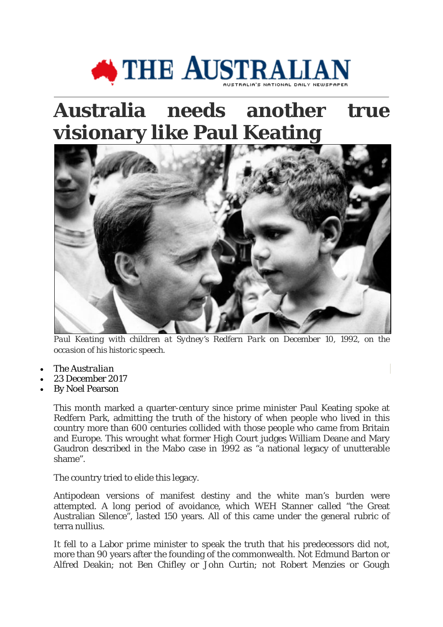

## **Australia needs another true visionary like Paul Keating**



Paul Keating with children at Sydney's Redfern Park on December 10, 1992, on the *occasion of his historic speech.*

- The *Australian*
- 23 December 2017
- By [Noel Pearson](http://www.theaustralian.com.au/author/Noel+Pearson)

This month marked a quarter-century since prime minister Paul Keating spoke at Redfern Park, admitting the truth of the history of when people who lived in this country more than 600 centuries collided with those people who came from Britain and Europe. This wrought what former High Court judges William Deane and Mary Gaudron described in the Mabo case in 1992 as "a national legacy of unutterable shame".

The country tried to elide this legacy.

Antipodean versions of manifest destiny and the white man's burden were attempted. A long period of avoidance, which WEH Stanner called "the Great Australian Silence", lasted 150 years. All of this came under the general rubric of terra nullius.

It fell to a Labor prime minister to speak the truth that his predecessors did not, more than 90 years after the founding of the commonwealth. Not Edmund Barton or Alfred Deakin; not Ben Chifley or John Curtin; not Robert Menzies or Gough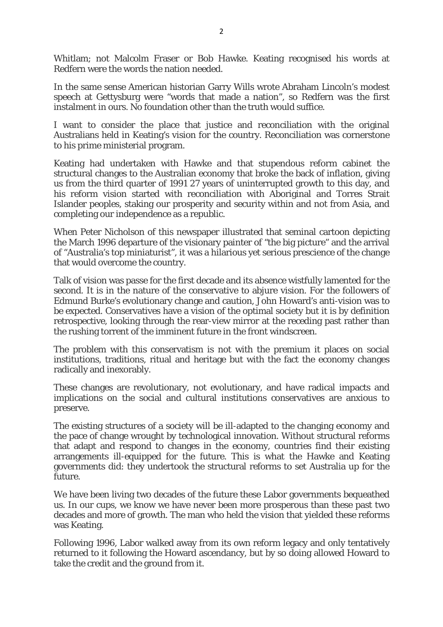Whitlam; not Malcolm Fraser or Bob Hawke. Keating recognised his words at Redfern were the words the nation needed.

In the same sense American historian Garry Wills wrote Abraham Lincoln's modest speech at Gettysburg were "words that made a nation", so Redfern was the first instalment in ours. No foundation other than the truth would suffice.

I want to consider the place that justice and reconciliation with the original Australians held in Keating's vision for the country. Reconciliation was cornerstone to his prime ministerial program.

Keating had undertaken with Hawke and that stupendous reform cabinet the structural changes to the Australian economy that broke the back of inflation, giving us from the third quarter of 1991 27 years of uninterrupted growth to this day, and his reform vision started with reconciliation with Aboriginal and Torres Strait Islander peoples, staking our prosperity and security within and not from Asia, and completing our independence as a republic.

When Peter Nicholson of this newspaper illustrated that seminal cartoon depicting the March 1996 departure of the visionary painter of "the big picture" and the arrival of "Australia's top miniaturist", it was a hilarious yet serious prescience of the change that would overcome the country.

Talk of vision was passe for the first decade and its absence wistfully lamented for the second. It is in the nature of the conservative to abjure vision. For the followers of Edmund Burke's evolutionary change and caution, John Howard's anti-vision was to be expected. Conservatives have a vision of the optimal society but it is by definition retrospective, looking through the rear-view mirror at the receding past rather than the rushing torrent of the imminent future in the front windscreen.

The problem with this conservatism is not with the premium it places on social institutions, traditions, ritual and heritage but with the fact the economy changes radically and inexorably.

These changes are revolutionary, not evolutionary, and have radical impacts and implications on the social and cultural institutions conservatives are anxious to preserve.

The existing structures of a society will be ill-adapted to the changing economy and the pace of change wrought by technological innovation. Without structural reforms that adapt and respond to changes in the economy, countries find their existing arrangements ill-equipped for the future. This is what the Hawke and Keating governments did: they undertook the structural reforms to set Australia up for the future.

We have been living two decades of the future these Labor governments bequeathed us. In our cups, we know we have never been more prosperous than these past two decades and more of growth. The man who held the vision that yielded these reforms was Keating.

Following 1996, Labor walked away from its own reform legacy and only tentatively returned to it following the Howard ascendancy, but by so doing allowed Howard to take the credit and the ground from it.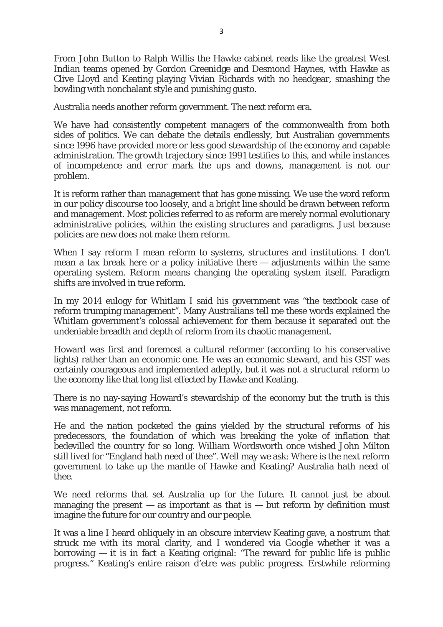From John Button to Ralph Willis the Hawke cabinet reads like the greatest West Indian teams opened by Gordon Greenidge and Desmond Haynes, with Hawke as Clive Lloyd and Keating playing Vivian Richards with no headgear, smashing the bowling with nonchalant style and punishing gusto.

Australia needs another reform government. The next reform era.

We have had consistently competent managers of the commonwealth from both sides of politics. We can debate the details endlessly, but Australian governments since 1996 have provided more or less good stewardship of the economy and capable administration. The growth trajectory since 1991 testifies to this, and while instances of incompetence and error mark the ups and downs, management is not our problem.

It is reform rather than management that has gone missing. We use the word reform in our policy discourse too loosely, and a bright line should be drawn between reform and management. Most policies referred to as reform are merely normal evolutionary administrative policies, within the existing structures and paradigms. Just because policies are new does not make them reform.

When I say reform I mean reform to systems, structures and institutions. I don't mean a tax break here or a policy initiative there — adjustments within the same operating system. Reform means changing the operating system itself. Paradigm shifts are involved in true reform.

In my 2014 eulogy for Whitlam I said his government was "the textbook case of reform trumping management". Many Australians tell me these words explained the Whitlam government's colossal achievement for them because it separated out the undeniable breadth and depth of reform from its chaotic management.

Howard was first and foremost a cultural reformer (according to his conservative lights) rather than an economic one. He was an economic steward, and his GST was certainly courageous and implemented adeptly, but it was not a structural reform to the economy like that long list effected by Hawke and Keating.

There is no nay-saying Howard's stewardship of the economy but the truth is this was management, not reform.

He and the nation pocketed the gains yielded by the structural reforms of his predecessors, the foundation of which was breaking the yoke of inflation that bedevilled the country for so long. William Wordsworth once wished John Milton still lived for "England hath need of thee". Well may we ask: Where is the next reform government to take up the mantle of Hawke and Keating? Australia hath need of thee.

We need reforms that set Australia up for the future. It cannot just be about managing the present  $-$  as important as that is  $-$  but reform by definition must imagine the future for our country and our people.

It was a line I heard obliquely in an obscure interview Keating gave, a nostrum that struck me with its moral clarity, and I wondered via Google whether it was a  $\bar{z}$  borrowing — it is in fact a Keating original: "The reward for public life is public progress." Keating's entire raison d'etre was public progress. Erstwhile reforming